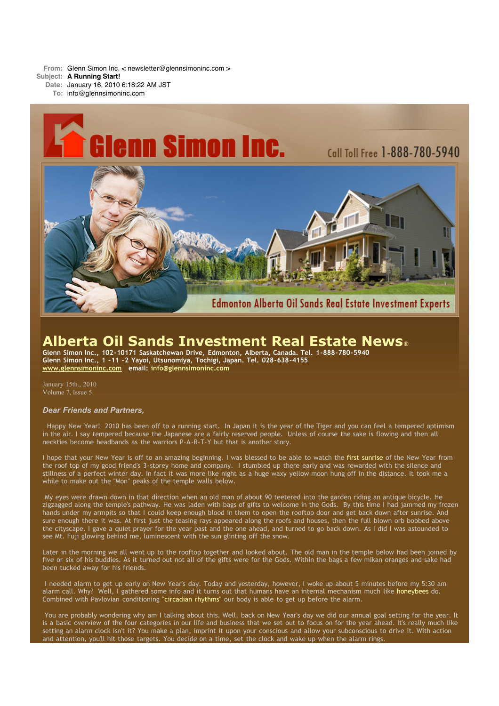**From:** Glenn Simon Inc. < newsletter@glennsimoninc.com >

**Subject: A Running Start!**

**Date:** January 16, 2010 6:18:22 AM JST

**To:** info@glennsimoninc.com



# **Alberta Oil Sands Investment Real Estate News**®

**Glenn Simon Inc., 102-10171 Saskatchewan Drive, Edmonton, Alberta, Canada. Tel. 1-888-780-5940 Glenn Simon Inc., 1 -11 -2 Yayoi, Utsunomiya, Tochigi, Japan. Tel. 028-638-4155 [www.glennsimoninc.com](http://www.glennsimoninc.com/) email: [info@glennsimoninc.com](mailto:info@glennsimoninc.com)**

January 15th., 2010 Volume 7, Issue 5

# *Dear Friends and Partners,*

Happy New Year! 2010 has been off to a running start. In Japan it is the year of the Tiger and you can feel a tempered optimism in the air. I say tempered because the Japanese are a fairly reserved people. Unless of course the sake is flowing and then all neckties become headbands as the warriors P-A-R-T-Y but that is another story.

I hope that your New Year is off to an amazing beginning. I was blessed to be able to watch the first [sunrise](http://www.edmontonrealestateinvestmentblog.com/2010/01/first-sun-rise-of-2010.html) of the New Year from the roof top of my good friend's 3-storey home and company. I stumbled up there early and was rewarded with the silence and stillness of a perfect winter day. In fact it was more like night as a huge waxy yellow moon hung off in the distance. It took me a while to make out the "Mon" peaks of the temple walls below.

My eyes were drawn down in that direction when an old man of about 90 teetered into the garden riding an antique bicycle. He zigzagged along the temple's pathway. He was laden with bags of gifts to welcome in the Gods. By this time I had jammed my frozen hands under my armpits so that I could keep enough blood in them to open the rooftop door and get back down after sunrise. And sure enough there it was. At first just the teasing rays appeared along the roofs and houses, then the full blown orb bobbed above the cityscape. I gave a quiet prayer for the year past and the one ahead, and turned to go back down. As I did I was astounded to see Mt. Fuji glowing behind me, luminescent with the sun glinting off the snow.

Later in the morning we all went up to the rooftop together and looked about. The old man in the temple below had been joined by five or six of his buddies. As it turned out not all of the gifts were for the Gods. Within the bags a few mikan oranges and sake had been tucked away for his friends.

I needed alarm to get up early on New Year's day. Today and yesterday, however, I woke up about 5 minutes before my 5:30 am alarm call. Why? Well, I gathered some info and it turns out that humans have an internal mechanism much like [honeybees](http://www.thenakedscientists.com/HTML/content/questions/question/2042/) do. Combined with Pavlovian conditioning ["circadian](http://www.straightdope.com/columns/read/525/how-come-i-wake-up-just-before-the-alarm-goes-off) rhythms" our body is able to get up before the alarm.

You are probably wondering why am I talking about this. Well, back on New Year's day we did our annual goal setting for the year. It is a basic overview of the four categories in our life and business that we set out to focus on for the year ahead. It's really much like setting an alarm clock isn't it? You make a plan, imprint it upon your conscious and allow your subconscious to drive it. With action and attention, you'll hit those targets. You decide on a time, set the clock and wake up when the alarm rings.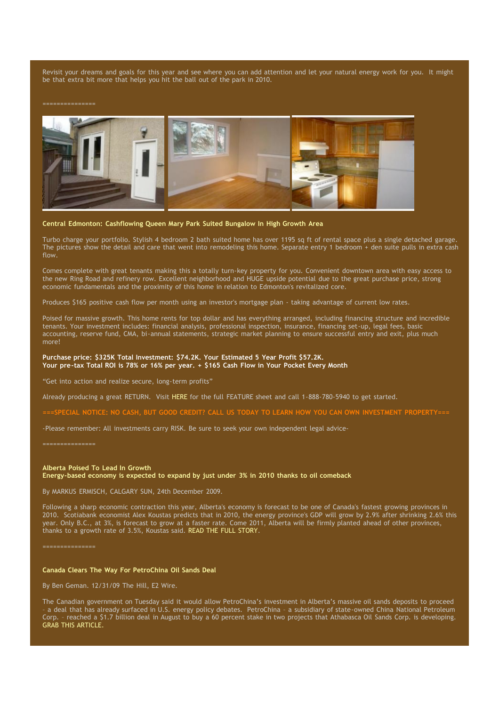Revisit your dreams and goals for this year and see where you can add attention and let your natural energy work for you. It might be that extra bit more that helps you hit the ball out of the park in 2010.



# **Central Edmonton: Cashflowing Queen Mary Park Suited Bungalow In High Growth Area**

Turbo charge your portfolio. Stylish 4 bedroom 2 bath suited home has over 1195 sq ft of rental space plus a single detached garage. The pictures show the detail and care that went into remodeling this home. Separate entry 1 bedroom + den suite pulls in extra cash flow.

Comes complete with great tenants making this a totally turn-key property for you. Convenient downtown area with easy access to the new Ring Road and refinery row. Excellent neighborhood and HUGE upside potential due to the great purchase price, strong economic fundamentals and the proximity of this home in relation to Edmonton's revitalized core.

Produces \$165 positive cash flow per month using an investor's mortgage plan - taking advantage of current low rates.

Poised for massive growth. This home rents for top dollar and has everything arranged, including financing structure and incredible tenants. Your investment includes: financial analysis, professional inspection, insurance, financing set-up, legal fees, basic accounting, reserve fund, CMA, bi-annual statements, strategic market planning to ensure successful entry and exit, plus much more!

#### **Purchase price: \$325K Total Investment: \$74.2K. Your Estimated 5 Year Profit \$57.2K. Your pre-tax Total ROI is 78% or 16% per year. + \$165 Cash Flow in Your Pocket Every Month**

"Get into action and realize secure, long-term profits"

Already producing a great RETURN. Visit [HERE](http://www.glennsimoninc.com/featured_detail.php?id=69) for the full FEATURE sheet and call 1-888-780-5940 to get started.

==SPECIAL NOTICE: NO CASH. BUT GOOD CREDIT? CALL US TODAY TO LEARN HOW YOU CAN OWN INVESTMENT PROPERTY=

-Please remember: All investments carry RISK. Be sure to seek your own independent legal advice-

===============

### **Alberta Poised To Lead In Growth**

**Energy-based economy is expected to expand by just under 3% in 2010 thanks to oil comeback**

By MARKUS ERMISCH, CALGARY SUN, 24th December 2009.

Following a sharp economic contraction this year, Alberta's economy is forecast to be one of Canada's fastest growing provinces in 2010. Scotiabank economist Alex Koustas predicts that in 2010, the energy province's GDP will grow by 2.9% after shrinking 2.6% this year. Only B.C., at 3%, is forecast to grow at a faster rate. Come 2011, Alberta will be firmly planted ahead of other provinces, thanks to a growth rate of 3.5%, Koustas said. READ THE FULL [STORY.](http://www.calgarysun.com/money/2009/12/24/12259981-sun.html)

===============

#### **Canada Clears The Way For PetroChina Oil Sands Deal**

By Ben Geman. 12/31/09 The Hill, E2 Wire.

The Canadian government on Tuesday said it would allow PetroChina's investment in Alberta's massive oil sands deposits to proceed<br>- a deal that has already surfaced in U.S. energy policy debates. PetroChina - a subsidiary – a deal that has already surfaced in U.S. energy policy debates. PetroChina – a subsidiary of state-owned China National Petroleum Corp. – reached a \$1.7 billion deal in August to buy a 60 percent stake in two projects that Athabasca Oil Sands Corp. is developing. GRAB THIS [ARTICLE.](http://thehill.com/blogs/e2-wire/677-e2-wire/73955-canada-clears-the-way-for-petrochina-oil-sands-deal)